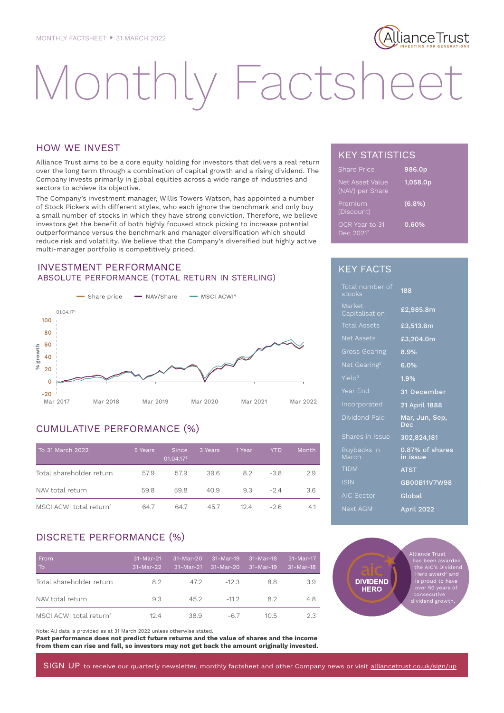# lianceTrust

# Monthly Factshee

# HOW WE INVEST

Alliance Trust aims to be a core equity holding for investors that delivers a real return over the long term through a combination of capital growth and a rising dividend. The Company invests primarily in global equities across a wide range of industries and sectors to achieve its objective.

The Company's investment manager, Willis Towers Watson, has appointed a number of Stock Pickers with different styles, who each ignore the benchmark and only buy a small number of stocks in which they have strong conviction. Therefore, we believe investors get the benefit of both highly focused stock picking to increase potential outperformance versus the benchmark and manager diversification which should reduce risk and volatility. We believe that the Company's diversified but highly active multi-manager portfolio is competitively priced.

# INVESTMENT PERFORMANCE ABSOLUTE PERFORMANCE (TOTAL RETURN IN STERLING)



# CUMULATIVE PERFORMANCE (%)

| To 31 March 2022                    | 5 Years | <b>Since</b><br>01.04.175 | 3 Years | 1 Year | YTD.   | Month |
|-------------------------------------|---------|---------------------------|---------|--------|--------|-------|
| Total shareholder return            | 57.9    | 57.9                      | 39.6    | 8.2    | $-3.8$ | 2.9   |
| NAV total return                    | 59.8    | 59.8                      | 40.9    | 9.3    | $-24$  | 3.6   |
| MSCI ACWI total return <sup>4</sup> | 647     | 64.7                      | 45.7    | 124    | $-26$  | 4.1   |

# DISCRETE PERFORMANCE (%)

| From<br>To                          | $31-Mar-21$<br>$31-Mar-22$ | $31-Mar-20$<br>31-Mar-21 | $31-Mar-19$<br>31-Mar-20 | $31-Mar-18$<br>$31-Mar-19$ | 31-Mar-17<br>31-Mar-18 |
|-------------------------------------|----------------------------|--------------------------|--------------------------|----------------------------|------------------------|
| Total shareholder return            | 8.2                        | 47.2                     | $-12.3$                  | 8.8                        | 3.9                    |
| NAV total return                    | 9.3                        | 45.2                     | $-112$                   | 82                         | 4.8                    |
| MSCI ACWI total return <sup>4</sup> | 124                        | 38.9                     | $-6.7$                   | 10.5                       | 2.3                    |

Note: All data is provided as at 31 March 2022 unless otherwise stated.

**Past performance does not predict future returns and the value of shares and the income from them can rise and fall, so investors may not get back the amount originally invested.**

# KEY STATISTICS

| <b>Share Price</b>                 | 986.0p   |
|------------------------------------|----------|
| Net Asset Value<br>(NAV) per Share | 1,058.0p |
| Premium<br>(Discount)              | (6.8%)   |
| OCR Year to 31<br>Dec 20217        | 0.60%    |

# KEY FACTS

| Total number of<br>stocks  | 188                          |
|----------------------------|------------------------------|
| Market<br>Capitalisation   | £2,985.8m                    |
| <b>Total Assets</b>        | £3,513.6m                    |
| <b>Net Assets</b>          | £3,204.0m                    |
| Gross Gearing <sup>1</sup> | 8.9%                         |
| Net Gearing <sup>2</sup>   | 6.0%                         |
| Yield <sup>3</sup>         | 1.9%                         |
| Year End                   | 31 December                  |
| Incorporated               | 21 April 1888                |
| Dividend Paid              | Mar, Jun, Sep,<br><b>Dec</b> |
| Shares in Issue            | 302,824,181                  |
| Buybacks in<br>March       | 0.87% of shares<br>in issue  |
| <b>TIDM</b>                | <b>ATST</b>                  |
|                            |                              |
| <b>ISIN</b>                | GB00B11V7W98                 |
| <b>AIC Sector</b>          | Global                       |



SIGN UP to receive our quarterly newsletter, monthly factsheet and other Company news or visit alliancetrust.co.uk/sign/up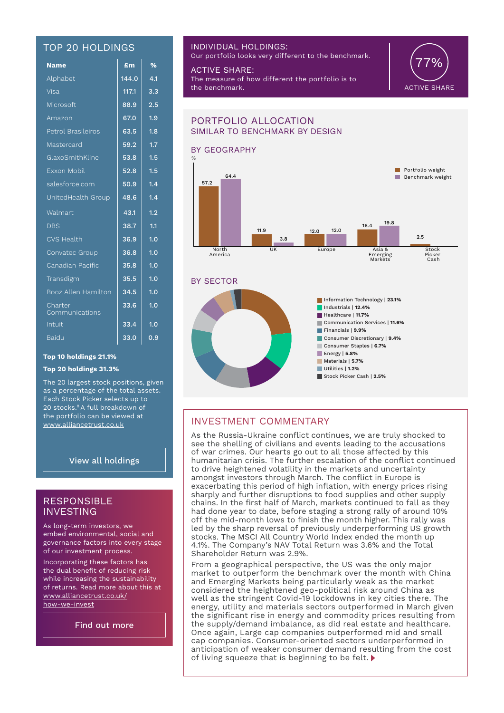# TOP 20 HOLDINGS

| <b>Name</b>               | £m    | $\overline{\frac{9}{6}}$ |
|---------------------------|-------|--------------------------|
| Alphabet                  | 144.0 | 4.1                      |
| Visa                      | 117.1 | 3.3                      |
| Microsoft                 | 88.9  | 2.5                      |
| Amazon                    | 67.0  | 1.9                      |
| Petrol Brasileiros        | 63.5  | 1.8                      |
| Mastercard                | 59.2  | 1.7                      |
| GlaxoSmithKline           | 53.8  | 1.5                      |
| Exxon Mobil               | 52.8  | 1.5                      |
| salesforce.com            | 50.9  | 1.4                      |
| UnitedHealth Group        | 48.6  | 1.4                      |
| Walmart                   | 43.1  | 1.2                      |
| <b>DBS</b>                | 38.7  | 1.1                      |
| <b>CVS Health</b>         | 36.9  | 1.0                      |
| Convatec Group            | 36.8  | 1.0                      |
| Canadian Pacific          | 35.8  | 1.0                      |
| Transdigm                 | 35.5  | 1.0                      |
| Booz Allen Hamilton       | 34.5  | 1.0                      |
| Charter<br>Communications | 33.6  | 1.0                      |
| Intuit                    | 33.4  | 1.0                      |
| <b>Baidu</b>              | 33.0  | 0.9                      |

# **Top 10 holdings 21.1%**

### **Top 20 holdings 31.3%**

The 20 largest stock positions, given as a percentage of the total assets. Each Stock Picker selects up to 20 stocks.8 A full breakdown of the portfolio can be viewed at www.alliancetrust.co.uk

# View all holdings

# RESPONSIBLE **INVESTING**

As long-term investors, we embed environmental, social and governance factors into every stage of our investment process.

Incorporating these factors has the dual benefit of reducing risk while increasing the sustainability of returns. Read more about this at www.alliancetrust.co.uk/ how-we-invest

Find out more

# INDIVIDUAL HOLDINGS:

Our portfolio looks very different to the benchmark.

ACTIVE SHARE: The measure of how different the portfolio is to the benchmark.



## BY GEOGRAPHY BY SECTOR PORTFOLIO ALLOCATION SIMILAR TO BENCHMARK BY DESIGN North America UK Europe Asia & Emerging Markets **Stock** Picker Cash Europe 57.2 11.9 12.0 16.4  $2.5$ 64.4 3.8 12.0 19.8  $B$ enchmark weight **Portfolio weight** % Information Technology | **23.1%** Industrials | **12.4%**  Healthcare | **11.7%**  Communication Services | **11.6%** Financials | **9.9%** Consumer Discretionary | **9.4%** Consumer Staples | **6.7%** Energy | **5.8%**  Materials | **5.7%** Utilities | **1.2%** Stock Picker Cash | **2.5%**

# INVESTMENT COMMENTARY

As the Russia-Ukraine conflict continues, we are truly shocked to see the shelling of civilians and events leading to the accusations of war crimes. Our hearts go out to all those affected by this humanitarian crisis. The further escalation of the conflict continued to drive heightened volatility in the markets and uncertainty amongst investors through March. The conflict in Europe is exacerbating this period of high inflation, with energy prices rising sharply and further disruptions to food supplies and other supply chains. In the first half of March, markets continued to fall as they had done year to date, before staging a strong rally of around 10% off the mid-month lows to finish the month higher. This rally was led by the sharp reversal of previously underperforming US growth stocks. The MSCI All Country World Index ended the month up 4.1%. The Company's NAV Total Return was 3.6% and the Total Shareholder Return was 2.9%.

From a geographical perspective, the US was the only major market to outperform the benchmark over the month with China and Emerging Markets being particularly weak as the market considered the heightened geo-political risk around China as well as the stringent Covid-19 lockdowns in key cities there. The energy, utility and materials sectors outperformed in March given the significant rise in energy and commodity prices resulting from the supply/demand imbalance, as did real estate and healthcare. Once again, Large cap companies outperformed mid and small cap companies. Consumer-oriented sectors underperformed in anticipation of weaker consumer demand resulting from the cost of living squeeze that is beginning to be felt.  $\blacktriangleright$